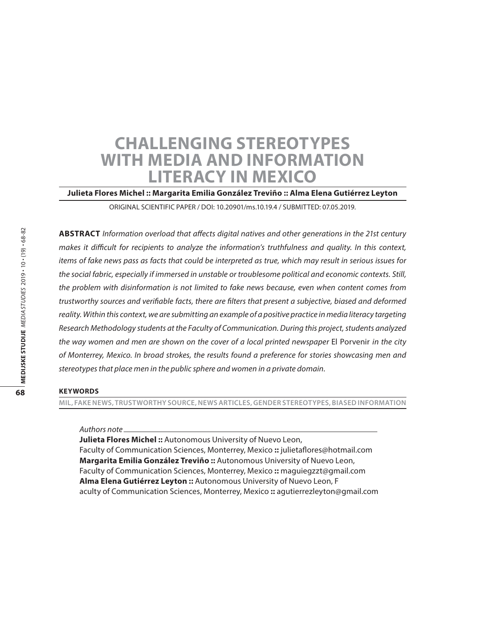# **Challenging Stereotypes with Media and Information Literacy in Mexico**

**Julieta Flores Michel :: Margarita Emilia González Treviño :: Alma Elena Gutiérrez Leyton**

ORIGINAL SCIENTIFIC PAPER / DOI: 10.20901/ms.10.19.4 / SUBMITTED: 07.05.2019.

**Abstract** *Information overload that affects digital natives and other generations in the 21st century makes it difficult for recipients to analyze the information's truthfulness and quality. In this context, items of fake news pass as facts that could be interpreted as true, which may result in serious issues for the social fabric, especially if immersed in unstable or troublesome political and economic contexts. Still, the problem with disinformation is not limited to fake news because, even when content comes from trustworthy sources and verifiable facts, there are filters that present a subjective, biased and deformed*  reality. Within this context, we are submitting an example of a positive practice in media literacy targeting *Research Methodology students at the Faculty of Communication. During this project, students analyzed the way women and men are shown on the cover of a local printed newspaper* El Porvenir *in the city of Monterrey, Mexico. In broad strokes, the results found a preference for stories showcasing men and stereotypes that place men in the public sphere and women in a private domain.*

#### **Keywords**

**MIL, fake news, trustworthy source, news articles, gender stereotypes, biased information**

#### *Authors note*

**Julieta Flores Michel ::** Autonomous University of Nuevo Leon, Faculty of Communication Sciences, Monterrey, Mexico **::** julietaflores@hotmail.com **Margarita Emilia González Treviño ::** Autonomous University of Nuevo Leon, Faculty of Communication Sciences, Monterrey, Mexico **::** maguiegzzt@gmail.com **Alma Elena Gutiérrez Leyton ::** Autonomous University of Nuevo Leon, F aculty of Communication Sciences, Monterrey, Mexico **::** agutierrezleyton@gmail.com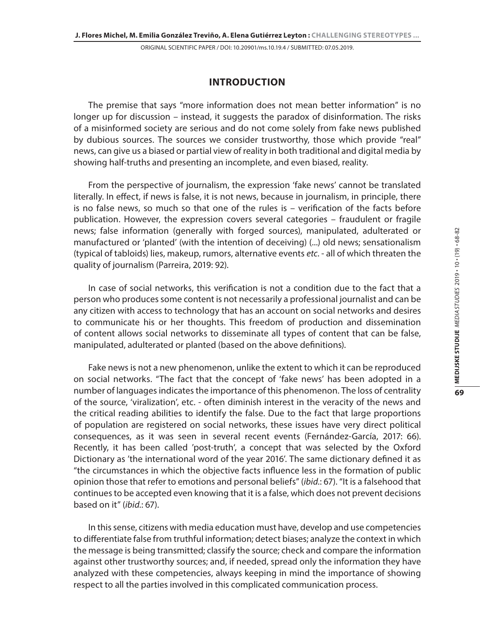# **Introduction**

The premise that says "more information does not mean better information" is no longer up for discussion – instead, it suggests the paradox of disinformation. The risks of a misinformed society are serious and do not come solely from fake news published by dubious sources. The sources we consider trustworthy, those which provide "real" news, can give us a biased or partial view of reality in both traditional and digital media by showing half-truths and presenting an incomplete, and even biased, reality.

From the perspective of journalism, the expression 'fake news' cannot be translated literally. In effect, if news is false, it is not news, because in journalism, in principle, there is no false news, so much so that one of the rules is – verification of the facts before publication. However, the expression covers several categories – fraudulent or fragile news; false information (generally with forged sources), manipulated, adulterated or manufactured or 'planted' (with the intention of deceiving) (...) old news; sensationalism (typical of tabloids) lies, makeup, rumors, alternative events *etc*. - all of which threaten the quality of journalism (Parreira, 2019: 92).

In case of social networks, this verification is not a condition due to the fact that a person who produces some content is not necessarily a professional journalist and can be any citizen with access to technology that has an account on social networks and desires to communicate his or her thoughts. This freedom of production and dissemination of content allows social networks to disseminate all types of content that can be false, manipulated, adulterated or planted (based on the above definitions).

Fake news is not a new phenomenon, unlike the extent to which it can be reproduced on social networks. "The fact that the concept of 'fake news' has been adopted in a number of languages indicates the importance of this phenomenon. The loss of centrality of the source, 'viralization', etc. - often diminish interest in the veracity of the news and the critical reading abilities to identify the false. Due to the fact that large proportions of population are registered on social networks, these issues have very direct political consequences, as it was seen in several recent events (Fernández-García, 2017: 66). Recently, it has been called 'post-truth', a concept that was selected by the Oxford Dictionary as 'the international word of the year 2016'. The same dictionary defined it as "the circumstances in which the objective facts influence less in the formation of public opinion those that refer to emotions and personal beliefs" (*ibid.*: 67). "It is a falsehood that continues to be accepted even knowing that it is a false, which does not prevent decisions based on it" (*ibid.*: 67).

In this sense, citizens with media education must have, develop and use competencies to differentiate false from truthful information; detect biases; analyze the context in which the message is being transmitted; classify the source; check and compare the information against other trustworthy sources; and, if needed, spread only the information they have analyzed with these competencies, always keeping in mind the importance of showing respect to all the parties involved in this complicated communication process.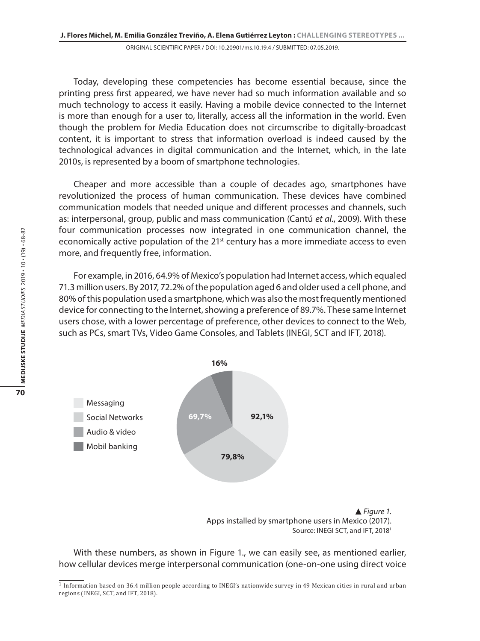Today, developing these competencies has become essential because, since the printing press first appeared, we have never had so much information available and so much technology to access it easily. Having a mobile device connected to the Internet is more than enough for a user to, literally, access all the information in the world. Even though the problem for Media Education does not circumscribe to digitally-broadcast content, it is important to stress that information overload is indeed caused by the technological advances in digital communication and the Internet, which, in the late 2010s, is represented by a boom of smartphone technologies.

Cheaper and more accessible than a couple of decades ago, smartphones have revolutionized the process of human communication. These devices have combined communication models that needed unique and different processes and channels, such as: interpersonal, group, public and mass communication (Cantú *et al.*, 2009). With these four communication processes now integrated in one communication channel, the economically active population of the 21<sup>st</sup> century has a more immediate access to even more, and frequently free, information.

For example, in 2016, 64.9% of Mexico's population had Internet access, which equaled 71.3 million users. By 2017, 72.2% of the population aged 6 and older used a cell phone, and 80% of this population used a smartphone, which was also the most frequently mentioned device for connecting to the Internet, showing a preference of 89.7%. These same Internet users chose, with a lower percentage of preference, other devices to connect to the Web, such as PCs, smart TVs, Video Game Consoles, and Tablets (INEGI, SCT and IFT, 2018).



*Figure 1.*  Apps installed by smartphone users in Mexico (2017). Source: INEGI SCT, and IFT, 2018<sup>1</sup>

With these numbers, as shown in Figure 1., we can easily see, as mentioned earlier, how cellular devices merge interpersonal communication (one-on-one using direct voice

<sup>1</sup> Information based on 36.4 million people according to INEGI's nationwide survey in 49 Mexican cities in rural and urban regions (INEGI, SCT, and IFT, 2018).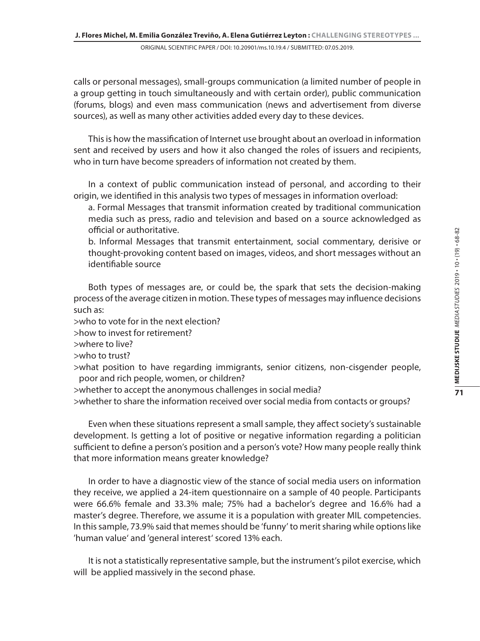calls or personal messages), small-groups communication (a limited number of people in a group getting in touch simultaneously and with certain order), public communication (forums, blogs) and even mass communication (news and advertisement from diverse sources), as well as many other activities added every day to these devices.

This is how the massification of Internet use brought about an overload in information sent and received by users and how it also changed the roles of issuers and recipients, who in turn have become spreaders of information not created by them.

In a context of public communication instead of personal, and according to their origin, we identified in this analysis two types of messages in information overload:

a. Formal Messages that transmit information created by traditional communication media such as press, radio and television and based on a source acknowledged as official or authoritative.

b. Informal Messages that transmit entertainment, social commentary, derisive or thought-provoking content based on images, videos, and short messages without an identifiable source

Both types of messages are, or could be, the spark that sets the decision-making process of the average citizen in motion. These types of messages may influence decisions such as: >who to vote for in the next election? >how to invest for retirement? >where to live? >who to trust? >what position to have regarding immigrants, senior citizens, non-cisgender people, poor and rich people, women, or children? >whether to accept the anonymous challenges in social media? >whether to share the information received over social media from contacts or groups? Even when these situations represent a small sample, they affect society's sustainable

development. Is getting a lot of positive or negative information regarding a politician sufficient to define a person's position and a person's vote? How many people really think that more information means greater knowledge?

In order to have a diagnostic view of the stance of social media users on information they receive, we applied a 24-item questionnaire on a sample of 40 people. Participants were 66.6% female and 33.3% male; 75% had a bachelor's degree and 16.6% had a master's degree. Therefore, we assume it is a population with greater MIL competencies. In this sample, 73.9% said that memes should be 'funny' to merit sharing while options like 'human value' and 'general interest' scored 13% each.

It is not a statistically representative sample, but the instrument's pilot exercise, which will be applied massively in the second phase.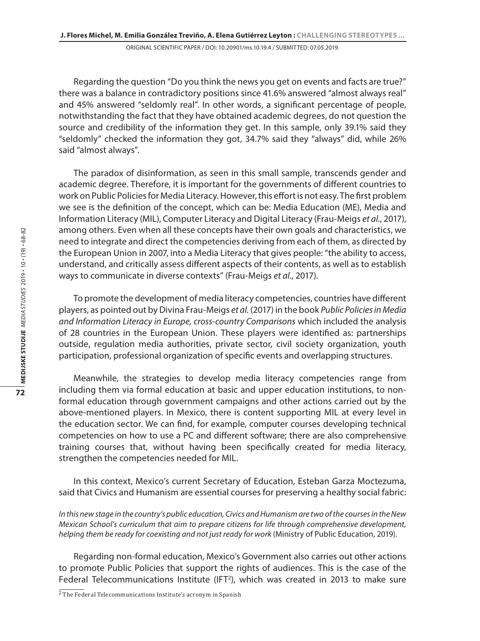Regarding the question "Do you think the news you get on events and facts are true?" there was a balance in contradictory positions since 41.6% answered "almost always real" and 45% answered "seldomly real". In other words, a significant percentage of people, notwithstanding the fact that they have obtained academic degrees, do not question the source and credibility of the information they get. In this sample, only 39.1% said they "seldomly" checked the information they got, 34.7% said they "always" did, while 26% said "almost always".

The paradox of disinformation, as seen in this small sample, transcends gender and academic degree. Therefore, it is important for the governments of different countries to work on Public Policies for Media Literacy. However, this effort is not easy. The first problem we see is the definition of the concept, which can be: Media Education (ME), Media and Information Literacy (MIL), Computer Literacy and Digital Literacy (Frau-Meigs *et al.*, 2017), among others. Even when all these concepts have their own goals and characteristics, we need to integrate and direct the competencies deriving from each of them, as directed by the European Union in 2007, into a Media Literacy that gives people: "the ability to access, understand, and critically assess different aspects of their contents, as well as to establish ways to communicate in diverse contexts" (Frau-Meigs *et al.*, 2017).

To promote the development of media literacy competencies, countries have different players, as pointed out by Divina Frau-Meigs *et al.* (2017) in the book *Public Policies in Media and Information Literacy in Europe, cross-country Comparisons* which included the analysis of 28 countries in the European Union. These players were identified as: partnerships outside, regulation media authorities, private sector, civil society organization, youth participation, professional organization of specific events and overlapping structures.

Meanwhile, the strategies to develop media literacy competencies range from including them via formal education at basic and upper education institutions, to nonformal education through government campaigns and other actions carried out by the above-mentioned players. In Mexico, there is content supporting MIL at every level in the education sector. We can find, for example, computer courses developing technical competencies on how to use a PC and different software; there are also comprehensive training courses that, without having been specifically created for media literacy, strengthen the competencies needed for MIL.

In this context, Mexico's current Secretary of Education, Esteban Garza Moctezuma, said that Civics and Humanism are essential courses for preserving a healthy social fabric:

*In this new stage in the country's public education, Civics and Humanism are two of the courses in the New Mexican School's curriculum that aim to prepare citizens for life through comprehensive development, helping them be ready for coexisting and not just ready for work* (Ministry of Public Education, 2019).

Regarding non-formal education, Mexico's Government also carries out other actions to promote Public Policies that support the rights of audiences. This is the case of the Federal Telecommunications Institute (IFT<sup>2</sup>), which was created in 2013 to make sure

<sup>2</sup> The Federal Telecommunications Institute's acronym in Spanish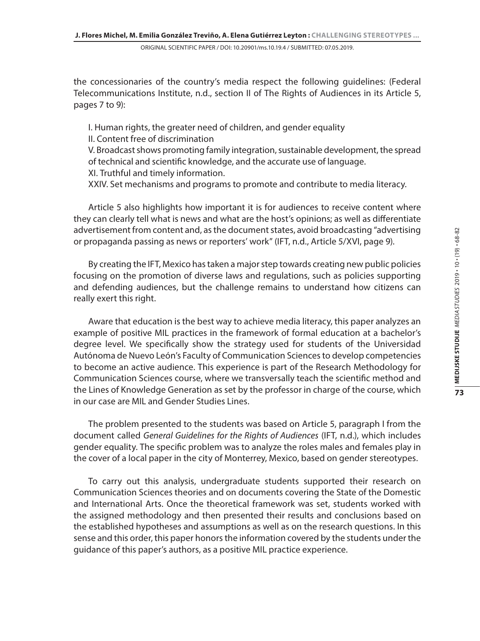the concessionaries of the country's media respect the following guidelines: (Federal Telecommunications Institute, n.d., section II of The Rights of Audiences in its Article 5, pages 7 to 9):

I. Human rights, the greater need of children, and gender equality II. Content free of discrimination V. Broadcast shows promoting family integration, sustainable development, the spread of technical and scientific knowledge, and the accurate use of language. XI. Truthful and timely information. XXIV. Set mechanisms and programs to promote and contribute to media literacy.

Article 5 also highlights how important it is for audiences to receive content where they can clearly tell what is news and what are the host's opinions; as well as differentiate advertisement from content and, as the document states, avoid broadcasting "advertising or propaganda passing as news or reporters' work" (IFT, n.d., Article 5/XVI, page 9).

By creating the IFT, Mexico has taken a major step towards creating new public policies focusing on the promotion of diverse laws and regulations, such as policies supporting and defending audiences, but the challenge remains to understand how citizens can really exert this right.

Aware that education is the best way to achieve media literacy, this paper analyzes an example of positive MIL practices in the framework of formal education at a bachelor's degree level. We specifically show the strategy used for students of the Universidad Autónoma de Nuevo León's Faculty of Communication Sciences to develop competencies to become an active audience. This experience is part of the Research Methodology for Communication Sciences course, where we transversally teach the scientific method and the Lines of Knowledge Generation as set by the professor in charge of the course, which in our case are MIL and Gender Studies Lines.

The problem presented to the students was based on Article 5, paragraph I from the document called *General Guidelines for the Rights of Audiences* (IFT, n.d.), which includes gender equality. The specific problem was to analyze the roles males and females play in the cover of a local paper in the city of Monterrey, Mexico, based on gender stereotypes.

To carry out this analysis, undergraduate students supported their research on Communication Sciences theories and on documents covering the State of the Domestic and International Arts. Once the theoretical framework was set, students worked with the assigned methodology and then presented their results and conclusions based on the established hypotheses and assumptions as well as on the research questions. In this sense and this order, this paper honors the information covered by the students under the guidance of this paper's authors, as a positive MIL practice experience.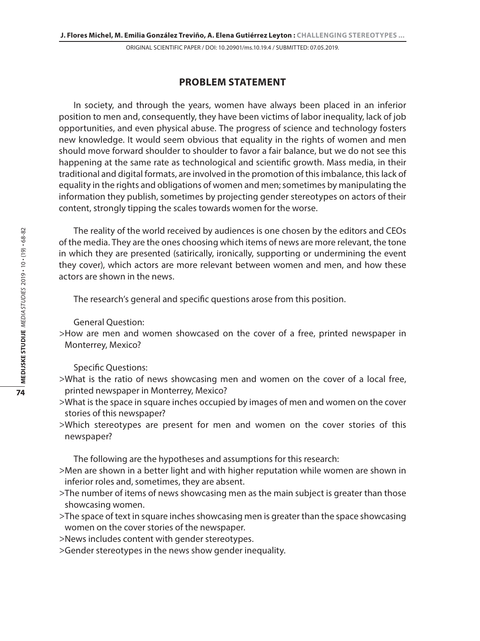# **Problem Statement**

In society, and through the years, women have always been placed in an inferior position to men and, consequently, they have been victims of labor inequality, lack of job opportunities, and even physical abuse. The progress of science and technology fosters new knowledge. It would seem obvious that equality in the rights of women and men should move forward shoulder to shoulder to favor a fair balance, but we do not see this happening at the same rate as technological and scientific growth. Mass media, in their traditional and digital formats, are involved in the promotion of this imbalance, this lack of equality in the rights and obligations of women and men; sometimes by manipulating the information they publish, sometimes by projecting gender stereotypes on actors of their content, strongly tipping the scales towards women for the worse.

The reality of the world received by audiences is one chosen by the editors and CEOs of the media. They are the ones choosing which items of news are more relevant, the tone in which they are presented (satirically, ironically, supporting or undermining the event they cover), which actors are more relevant between women and men, and how these actors are shown in the news.

The research's general and specific questions arose from this position.

General Question:

>How are men and women showcased on the cover of a free, printed newspaper in Monterrey, Mexico?

Specific Questions:

- What is the ratio of news showcasing men and women on the cover of a local free, > printed newspaper in Monterrey, Mexico?
- What is the space in square inches occupied by images of men and women on the cover > stories of this newspaper?
- Which stereotypes are present for men and women on the cover stories of this > newspaper?

The following are the hypotheses and assumptions for this research:

- >Men are shown in a better light and with higher reputation while women are shown in inferior roles and, sometimes, they are absent.
- The number of items of news showcasing men as the main subject is greater than those > showcasing women.
- >The space of text in square inches showcasing men is greater than the space showcasing women on the cover stories of the newspaper.
- News includes content with gender stereotypes. >
- Gender stereotypes in the news show gender inequality. >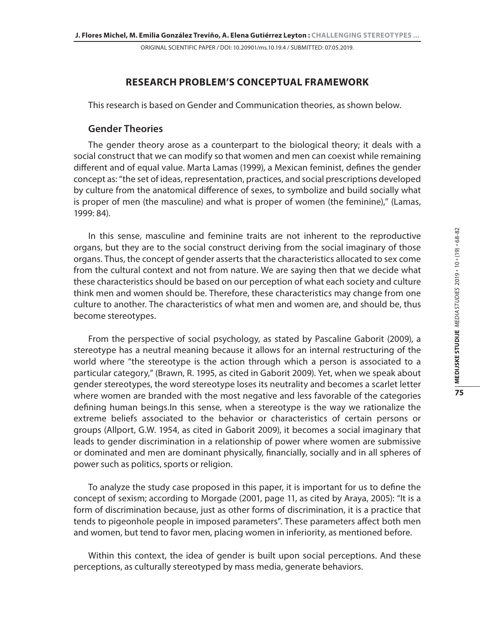## **Research Problem's Conceptual Framework**

This research is based on Gender and Communication theories, as shown below.

## **Gender Theories**

The gender theory arose as a counterpart to the biological theory; it deals with a social construct that we can modify so that women and men can coexist while remaining different and of equal value. Marta Lamas (1999), a Mexican feminist, defines the gender concept as: "the set of ideas, representation, practices, and social prescriptions developed by culture from the anatomical difference of sexes, to symbolize and build socially what is proper of men (the masculine) and what is proper of women (the feminine)," (Lamas, 1999: 84).

In this sense, masculine and feminine traits are not inherent to the reproductive organs, but they are to the social construct deriving from the social imaginary of those organs. Thus, the concept of gender asserts that the characteristics allocated to sex come from the cultural context and not from nature. We are saying then that we decide what these characteristics should be based on our perception of what each society and culture think men and women should be. Therefore, these characteristics may change from one culture to another. The characteristics of what men and women are, and should be, thus become stereotypes.

From the perspective of social psychology, as stated by Pascaline Gaborit (2009), a stereotype has a neutral meaning because it allows for an internal restructuring of the world where "the stereotype is the action through which a person is associated to a particular category," (Brawn, R. 1995, as cited in Gaborit 2009). Yet, when we speak about gender stereotypes, the word stereotype loses its neutrality and becomes a scarlet letter where women are branded with the most negative and less favorable of the categories defining human beings.In this sense, when a stereotype is the way we rationalize the extreme beliefs associated to the behavior or characteristics of certain persons or groups (Allport, G.W. 1954, as cited in Gaborit 2009), it becomes a social imaginary that leads to gender discrimination in a relationship of power where women are submissive or dominated and men are dominant physically, financially, socially and in all spheres of power such as politics, sports or religion.

To analyze the study case proposed in this paper, it is important for us to define the concept of sexism; according to Morgade (2001, page 11, as cited by Araya, 2005): "It is a form of discrimination because, just as other forms of discrimination, it is a practice that tends to pigeonhole people in imposed parameters". These parameters affect both men and women, but tend to favor men, placing women in inferiority, as mentioned before.

Within this context, the idea of gender is built upon social perceptions. And these perceptions, as culturally stereotyped by mass media, generate behaviors.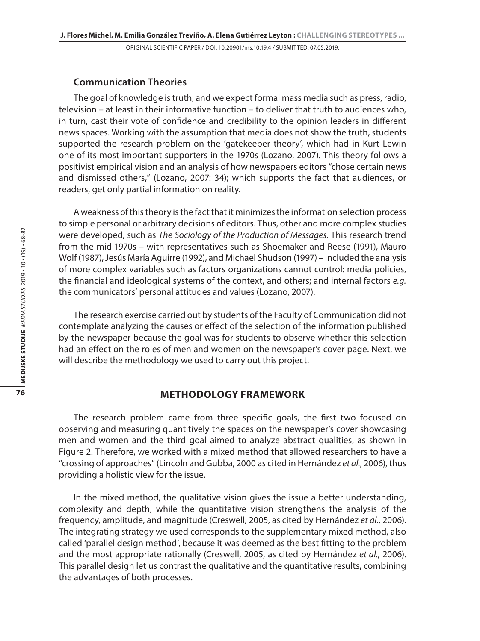### **Communication Theories**

The goal of knowledge is truth, and we expect formal mass media such as press, radio, television – at least in their informative function – to deliver that truth to audiences who, in turn, cast their vote of confidence and credibility to the opinion leaders in different news spaces. Working with the assumption that media does not show the truth, students supported the research problem on the 'gatekeeper theory', which had in Kurt Lewin one of its most important supporters in the 1970s (Lozano, 2007). This theory follows a positivist empirical vision and an analysis of how newspapers editors "chose certain news and dismissed others," (Lozano, 2007: 34); which supports the fact that audiences, or readers, get only partial information on reality.

A weakness of this theory is the fact that it minimizes the information selection process to simple personal or arbitrary decisions of editors. Thus, other and more complex studies were developed, such as *The Sociology of the Production of Messages*. This research trend from the mid-1970s – with representatives such as Shoemaker and Reese (1991), Mauro Wolf (1987), Jesús María Aguirre (1992), and Michael Shudson (1997) – included the analysis of more complex variables such as factors organizations cannot control: media policies, the financial and ideological systems of the context, and others; and internal factors *e.g.* the communicators' personal attitudes and values (Lozano, 2007).

The research exercise carried out by students of the Faculty of Communication did not contemplate analyzing the causes or effect of the selection of the information published by the newspaper because the goal was for students to observe whether this selection had an effect on the roles of men and women on the newspaper's cover page. Next, we will describe the methodology we used to carry out this project.

## **Methodology Framework**

The research problem came from three specific goals, the first two focused on observing and measuring quantitively the spaces on the newspaper's cover showcasing men and women and the third goal aimed to analyze abstract qualities, as shown in Figure 2. Therefore, we worked with a mixed method that allowed researchers to have a "crossing of approaches" (Lincoln and Gubba, 2000 as cited in Hernández *et al.*, 2006), thus providing a holistic view for the issue.

In the mixed method, the qualitative vision gives the issue a better understanding, complexity and depth, while the quantitative vision strengthens the analysis of the frequency, amplitude, and magnitude (Creswell, 2005, as cited by Hernández *et al.*, 2006). The integrating strategy we used corresponds to the supplementary mixed method, also called 'parallel design method', because it was deemed as the best fitting to the problem and the most appropriate rationally (Creswell, 2005, as cited by Hernández *et al.*, 2006). This parallel design let us contrast the qualitative and the quantitative results, combining the advantages of both processes.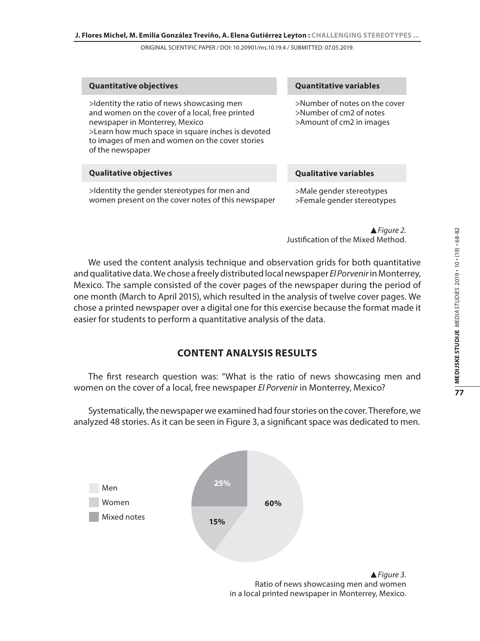| <b>Quantitative objectives</b>                                                                                                                                                                                                                              | <b>Quantitative variables</b>                                                        |
|-------------------------------------------------------------------------------------------------------------------------------------------------------------------------------------------------------------------------------------------------------------|--------------------------------------------------------------------------------------|
| >Identity the ratio of news showcasing men<br>and women on the cover of a local, free printed<br>newspaper in Monterrey, Mexico<br>>Learn how much space in square inches is devoted<br>to images of men and women on the cover stories<br>of the newspaper | >Number of notes on the cover<br>>Number of cm2 of notes<br>>Amount of cm2 in images |
| <b>Qualitative objectives</b>                                                                                                                                                                                                                               | <b>Qualitative variables</b>                                                         |
| >Identity the gender stereotypes for men and<br>women present on the cover notes of this newspaper                                                                                                                                                          | >Male gender stereotypes<br>>Female gender stereotypes                               |

*Figure 2.* Justification of the Mixed Method.

We used the content analysis technique and observation grids for both quantitative and qualitative data. We chose a freely distributed local newspaper *El Porvenir* in Monterrey, Mexico. The sample consisted of the cover pages of the newspaper during the period of one month (March to April 2015), which resulted in the analysis of twelve cover pages. We chose a printed newspaper over a digital one for this exercise because the format made it easier for students to perform a quantitative analysis of the data.

# **Content Analysis Results**

The first research question was: "What is the ratio of news showcasing men and women on the cover of a local, free newspaper *El Porvenir* in Monterrey, Mexico?

Systematically, the newspaper we examined had four stories on the cover. Therefore, we analyzed 48 stories. As it can be seen in Figure 3, a significant space was dedicated to men.

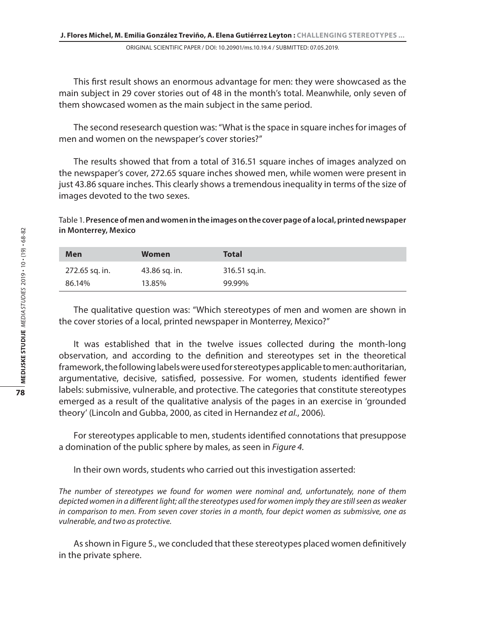This first result shows an enormous advantage for men: they were showcased as the main subject in 29 cover stories out of 48 in the month's total. Meanwhile, only seven of them showcased women as the main subject in the same period.

The second resesearch question was: "What is the space in square inches for images of men and women on the newspaper's cover stories?"

The results showed that from a total of 316.51 square inches of images analyzed on the newspaper's cover, 272.65 square inches showed men, while women were present in just 43.86 square inches. This clearly shows a tremendous inequality in terms of the size of images devoted to the two sexes.

## Table 1. **Presence of men and women in the images on the cover page of a local, printed newspaper in Monterrey, Mexico**

| Men            | Women         | <b>Total</b>  |
|----------------|---------------|---------------|
| 272.65 sq. in. | 43.86 sq. in. | 316.51 sq.in. |
| 86.14%         | 13.85%        | 99.99%        |

The qualitative question was: "Which stereotypes of men and women are shown in the cover stories of a local, printed newspaper in Monterrey, Mexico?"

It was established that in the twelve issues collected during the month-long observation, and according to the definition and stereotypes set in the theoretical framework, the following labels were used for stereotypes applicable to men: authoritarian, argumentative, decisive, satisfied, possessive. For women, students identified fewer labels: submissive, vulnerable, and protective. The categories that constitute stereotypes emerged as a result of the qualitative analysis of the pages in an exercise in 'grounded theory' (Lincoln and Gubba, 2000, as cited in Hernandez *et al.*, 2006).

For stereotypes applicable to men, students identified connotations that presuppose a domination of the public sphere by males, as seen in *Figure 4.* 

In their own words, students who carried out this investigation asserted:

*The number of stereotypes we found for women were nominal and, unfortunately, none of them depicted women in a different light; all the stereotypes used for women imply they are still seen as weaker in comparison to men. From seven cover stories in a month, four depict women as submissive, one as vulnerable, and two as protective.*

As shown in Figure 5., we concluded that these stereotypes placed women definitively in the private sphere.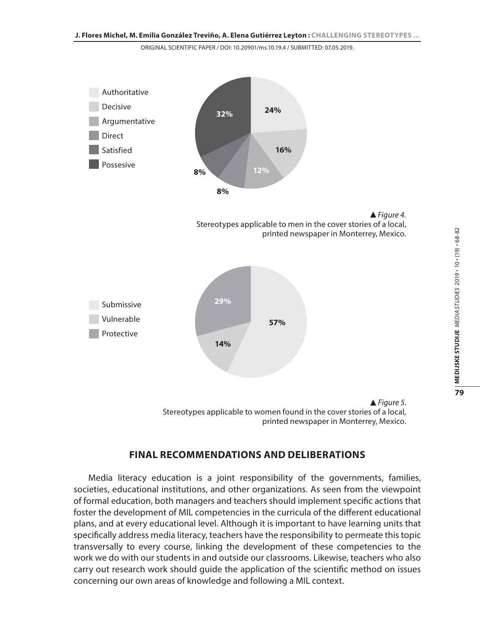ORIGINAL SCIENTIFIC PAPER / DOI: 10.20901/ms.10.19.4 / SUBMITTED: 07.05.2019.



printed newspaper in Monterrey, Mexico.

# **Final Recommendations and Deliberations**

Media literacy education is a joint responsibility of the governments, families, societies, educational institutions, and other organizations. As seen from the viewpoint of formal education, both managers and teachers should implement specific actions that foster the development of MIL competencies in the curricula of the different educational plans, and at every educational level. Although it is important to have learning units that specifically address media literacy, teachers have the responsibility to permeate this topic transversally to every course, linking the development of these competencies to the work we do with our students in and outside our classrooms. Likewise, teachers who also carry out research work should guide the application of the scientific method on issues concerning our own areas of knowledge and following a MIL context.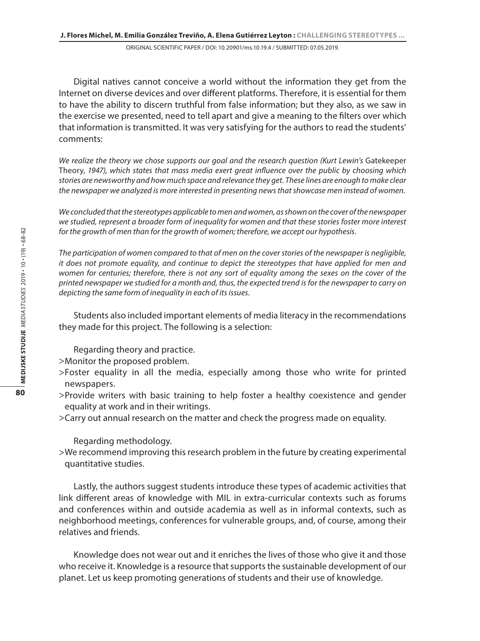Digital natives cannot conceive a world without the information they get from the Internet on diverse devices and over different platforms. Therefore, it is essential for them to have the ability to discern truthful from false information; but they also, as we saw in the exercise we presented, need to tell apart and give a meaning to the filters over which that information is transmitted. It was very satisfying for the authors to read the students' comments:

We realize the theory we chose supports our goal and the research question (Kurt Lewin's Gatekeeper Theory, *1947), which states that mass media exert great influence over the public by choosing which stories are newsworthy and how much space and relevance they get. These lines are enough to make clear the newspaper we analyzed is more interested in presenting news that showcase men instead of women.*

*We concluded that the stereotypes applicable to men and women, as shown on the cover of the newspaper we studied, represent a broader form of inequality for women and that these stories foster more interest for the growth of men than for the growth of women; therefore, we accept our hypothesis.*

*The participation of women compared to that of men on the cover stories of the newspaper is negligible, it does not promote equality, and continue to depict the stereotypes that have applied for men and women for centuries; therefore, there is not any sort of equality among the sexes on the cover of the printed newspaper we studied for a month and, thus, the expected trend is for the newspaper to carry on depicting the same form of inequality in each of its issues.*

Students also included important elements of media literacy in the recommendations they made for this project. The following is a selection:

Regarding theory and practice.

Monitor the proposed problem. >

- >Foster equality in all the media, especially among those who write for printed newspapers.
- >Provide writers with basic training to help foster a healthy coexistence and gender equality at work and in their writings.

Carry out annual research on the matter and check the progress made on equality. >

Regarding methodology.

We recommend improving this research problem in the future by creating experimental >quantitative studies.

Lastly, the authors suggest students introduce these types of academic activities that link different areas of knowledge with MIL in extra-curricular contexts such as forums and conferences within and outside academia as well as in informal contexts, such as neighborhood meetings, conferences for vulnerable groups, and, of course, among their relatives and friends.

Knowledge does not wear out and it enriches the lives of those who give it and those who receive it. Knowledge is a resource that supports the sustainable development of our planet. Let us keep promoting generations of students and their use of knowledge.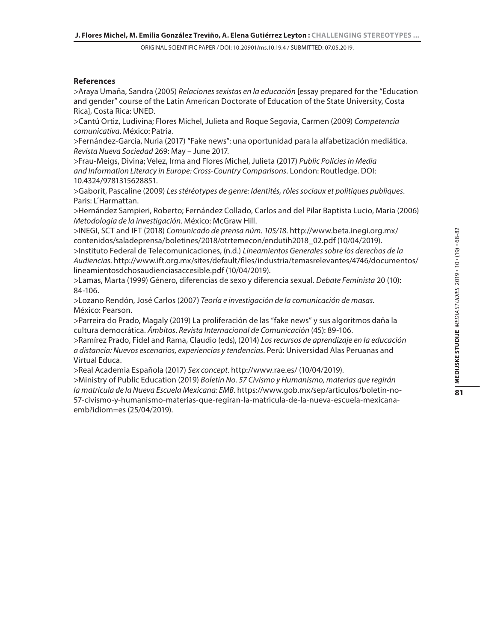#### **References**

>Araya Umaña, Sandra (2005) *Relaciones sexistas en la educación* [essay prepared for the "Education and gender" course of the Latin American Doctorate of Education of the State University, Costa Rica], Costa Rica: UNED.

>Cantú Ortiz, Ludivina; Flores Michel, Julieta and Roque Segovia, Carmen (2009) *Competencia comunicativa*. México: Patria.

>Fernández-García, Nuria (2017) "Fake news": una oportunidad para la alfabetización mediática. *Revista Nueva Sociedad* 269: May – June 2017.

>Frau-Meigs, Divina; Velez, Irma and Flores Michel, Julieta (2017) *Public Policies in Media and Information Literacy in Europe: Cross-Country Comparisons*. London: Routledge. DOI: 10.4324/9781315628851.

>Gaborit, Pascaline (2009) *Les stéréotypes de genre: Identités, rôles sociaux et politiques publiques*. Paris: L´Harmattan.

>Hernández Sampieri, Roberto; Fernández Collado, Carlos and del Pilar Baptista Lucio, Maria (2006) *Metodología de la investigación*. México: McGraw Hill.

>INEGI, SCT and IFT (2018) *Comunicado de prensa núm. 105/18.* http://www.beta.inegi.org.mx/ contenidos/saladeprensa/boletines/2018/otrtemecon/endutih2018\_02.pdf (10/04/2019).

>Instituto Federal de Telecomunicaciones, (n.d.) *Lineamientos Generales sobre los derechos de la Audiencias.* http://www.ift.org.mx/sites/default/files/industria/temasrelevantes/4746/documentos/ lineamientosdchosaudienciasaccesible.pdf (10/04/2019).

>Lamas, Marta (1999) Género, diferencias de sexo y diferencia sexual. *Debate Feminista* 20 (10): 84-106.

>Lozano Rendón, José Carlos (2007) *Teoría e investigación de la comunicación de masas.* México: Pearson.

>Parreira do Prado, Magaly (2019) La proliferación de las "fake news" y sus algoritmos daña la cultura democrática. *Ámbitos. Revista Internacional de Comunicación* (45): 89-106.

>Ramírez Prado, Fidel and Rama, Claudio (eds), (2014) *Los recursos de aprendizaje en la educación a distancia: Nuevos escenarios, experiencias y tendencias*. Perú: Universidad Alas Peruanas and Virtual Educa.

>Real Academia Española (2017) *Sex concept*. http://www.rae.es/ (10/04/2019).

>Ministry of Public Education (2019) *Boletín No. 57 Civismo y Humanismo, materias que regirán la matrícula de la Nueva Escuela Mexicana: EMB*. https://www.gob.mx/sep/articulos/boletin-no-57-civismo-y-humanismo-materias-que-regiran-la-matricula-de-la-nueva-escuela-mexicanaemb?idiom=es (25/04/2019).